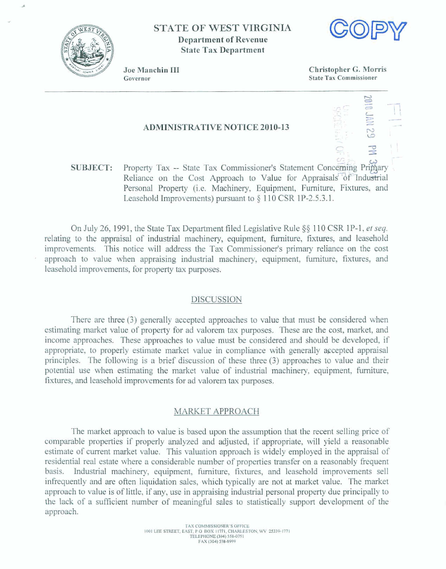

# **STATE OF WEST VIRGINIA Department of Revenue State Tax Department**



- -

Joe Manchin III Governor

**Christopher** *G,* **Morris State Tax Commissioner** 

## **ADMINISTRATIVE NOTICE 2010-13**

**SUBJECT:** Property Tax -- State Tax Commissioner's Statement Concerning Primary Reliance on the Cost Approach to Value for Appraisals of Industrial Personal Property (i.e. Machinery, Equipment, Furniture, Fixtures, and **Leasehold** Improvements) **pursuant to 5** 1 **1** 0 CSR 1 **P-2.5.3,1.** 

**On** July 26, 1991, **the State** Tstx **Department filed Legislative** Rule **88** 1 10 **CSR** 1 P-1 , *er* **seq.**  relating to the appraisal of industrial machinery, equipment, furniture, fixtures, and leasehold **improvements.** This notice will **address the Tax Commissioner's** primary relimce **on** the **cost**   $a$ pproach to value when appraising industrial machinery, equipment, furniture, fixtures, and  $leasehold$  *improvements*, *for property tax purposes.* 

## **DISCUSSION**

**There** are three (3) generalIy **accepted approaches to value** that must **be considered** when estimating market value of property for ad valorem tax purposes. These are the cost, market, and income **approaches,** These **approaches** to **vaIue** must be considered **and** should be developed, **if appropriate,** to properly **estimate market value** in **compliance with** generally a~cepted **appraisal principles. The** following **is a brief discussion of these three (3) approaches** to **value** and **their potentid use when estimating** the **market value of industria1 machinery, equipment,** furniture, **fixhres,** and **leasehold improvements** for **ad** valorem **tax purposes.** 

## MARKET **APPROACH**

The **market** approach **to** value **is** based upon the **assumption that** the recent selling price of comparable properties if properly analyzed and adjusted, if appropriate, will yield a reasonable **estimate** of current **market value. This** valuation **approach is widely employed** in the **appraisal of**  residential **real estate where a considerable number of properties** transfer **on a reasonably frequent**  basis. **Industrial** machinery, **equipment,** furniture, **fixtures, and leasehold improvements selI**  infrequently and **are** often liquidation **sales,** which typically *are* not at **market** value. The **market**   $a$  approach to value is of little, if any, use in appraising industrial personal property due principally to **the lack of a sufficient number of meaningful sales to statistically support development of the approach.**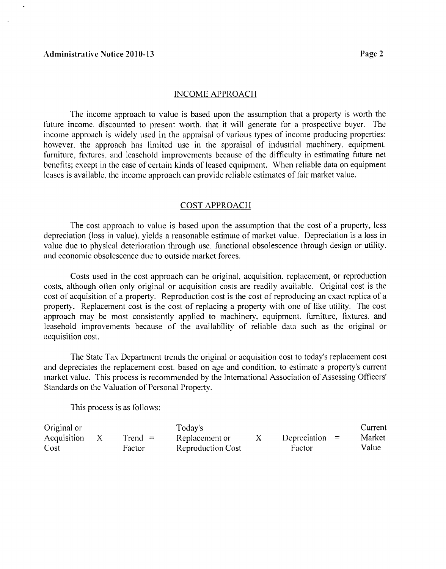## INCOME APPROACH

The income approach to value is based upon the assumption that a property is worth the future income. discounted to present worth. that it will generate for a prospective buyer. The income approach is widely used in the appraisal of various types of income producing properties: however, the approach has limited use in the appraisal of industrial machinery, equipment, furniture, fixtures, and leasehold improvements because of the difficulty in estimating future net benefits: except in the case of certain kinds of leased equipment. When reliable data on equipment leases is available, the income approach can provide reliable estimates of fair market value.

## **COST APPROACH**

The cost approach to value is based upon the assumption that the cost of a property, less depreciation (loss in value). yields a reasonable estimate of market value. Depreciation is a loss in value due to physical deterioration through use. functional obsolescence through design or utility. and economic obsolescence due to outside market forces.

Costs used in the cost approach can be original, acquisition. replacement. or reproduction costs, although often only original or acquisition costs arc readily available. Original cost is the cost of acquisition of a property. Reproduction cost is the cost of reproducing an exact replica of a property. Replacement cost is the cost of replacing a property with one of like utility. The cost approach may be most consistently applied to machinery, equipment. furniture, fixtures, and leasehold improvements because of the availability of reliable data such as the original or acquisition cost.

The State Tax Department trends the original or acquisition cost to today's replacement cost and depreciates the replacement cost. based on age and condition. to estimate a property's current lnarket value. This process is recommended by the International Association of Assessing Officers' Standards on the Valuation of Personal Property.

This process is as follows:

| Original or |           | Today's                  |                  | Current |
|-------------|-----------|--------------------------|------------------|---------|
| Acquisition | $Trend =$ | Replacement or           | Depreciation $=$ | Market  |
| Cost        | Factor    | <b>Reproduction Cost</b> | Factor           | Value   |